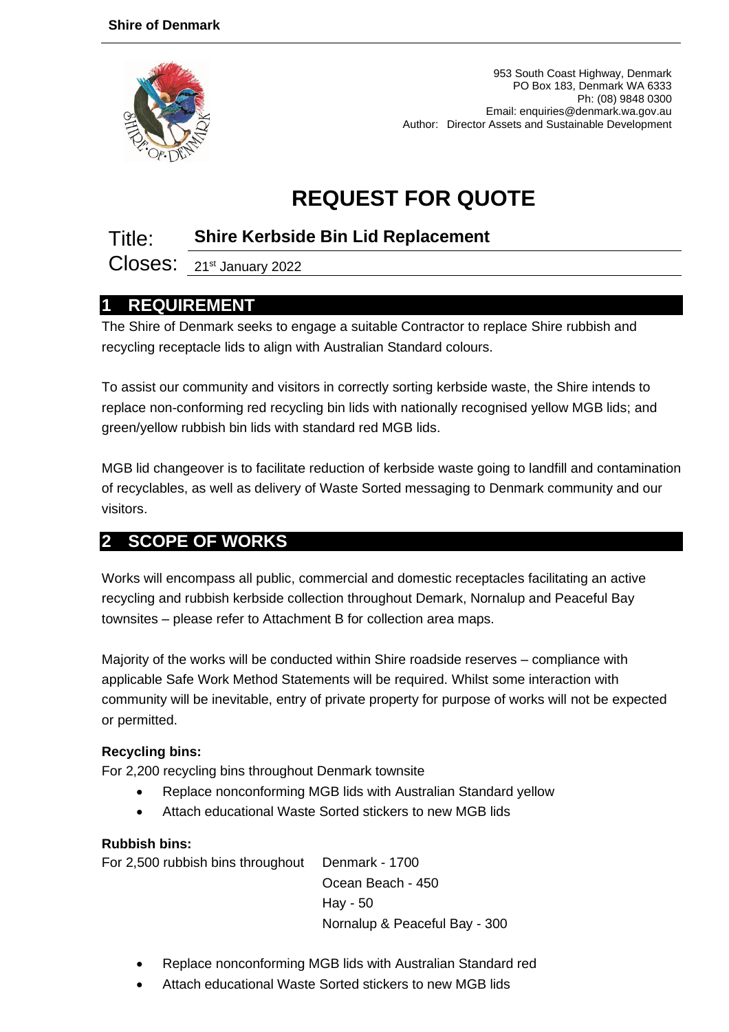

953 South Coast Highway, Denmark PO Box 183, Denmark WA 6333 Ph: (08) 9848 0300 Email: enquiries@denmark.wa.gov.au Author: Director Assets and Sustainable Development

# **REQUEST FOR QUOTE**

# Title: **Shire Kerbside Bin Lid Replacement**

Closes: 21st January 2022

### <sup>1</sup> **Date:[Insert 1 REQUIREMENT**

The Shire of Denmark seeks to engage a suitable Contractor to replace Shire rubbish and recycling receptacle lids to align with Australian Standard colours.

To assist our community and visitors in correctly sorting kerbside waste, the Shire intends to replace non-conforming red recycling bin lids with nationally recognised yellow MGB lids; and green/yellow rubbish bin lids with standard red MGB lids.

MGB lid changeover is to facilitate reduction of kerbside waste going to landfill and contamination of recyclables, as well as delivery of Waste Sorted messaging to Denmark community and our visitors.

## **2 SCOPE OF WORKS**

Works will encompass all public, commercial and domestic receptacles facilitating an active recycling and rubbish kerbside collection throughout Demark, Nornalup and Peaceful Bay townsites – please refer to Attachment B for collection area maps.

Majority of the works will be conducted within Shire roadside reserves – compliance with applicable Safe Work Method Statements will be required. Whilst some interaction with community will be inevitable, entry of private property for purpose of works will not be expected or permitted.

### **Recycling bins:**

For 2,200 recycling bins throughout Denmark townsite

- Replace nonconforming MGB lids with Australian Standard yellow
- Attach educational Waste Sorted stickers to new MGB lids

### **Rubbish bins:**

For 2,500 rubbish bins throughout Denmark - 1700 Ocean Beach - 450 Hay - 50 Nornalup & Peaceful Bay - 300

- Replace nonconforming MGB lids with Australian Standard red
- Attach educational Waste Sorted stickers to new MGB lids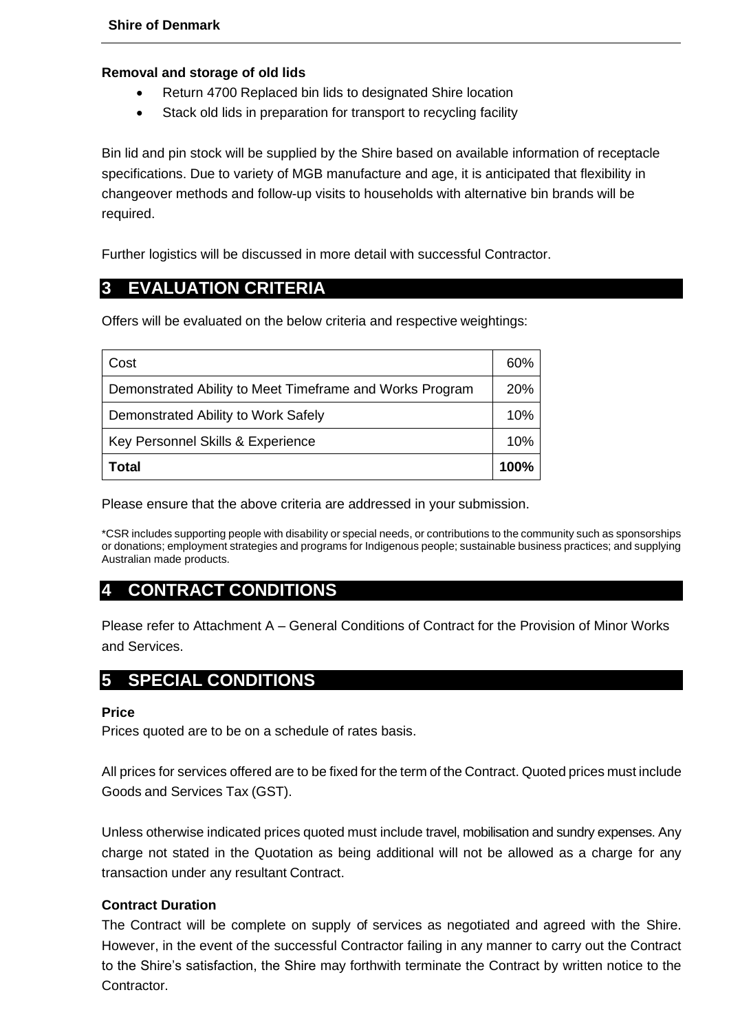#### **Removal and storage of old lids**

- Return 4700 Replaced bin lids to designated Shire location
- Stack old lids in preparation for transport to recycling facility

Bin lid and pin stock will be supplied by the Shire based on available information of receptacle specifications. Due to variety of MGB manufacture and age, it is anticipated that flexibility in changeover methods and follow-up visits to households with alternative bin brands will be required.

Further logistics will be discussed in more detail with successful Contractor.

## **3 EVALUATION CRITERIA**

Offers will be evaluated on the below criteria and respective weightings:

| Cost                                                     | 60%  |
|----------------------------------------------------------|------|
| Demonstrated Ability to Meet Timeframe and Works Program | 20%  |
| Demonstrated Ability to Work Safely                      | 10%  |
| Key Personnel Skills & Experience                        | 10%  |
| Total                                                    | 100% |

Please ensure that the above criteria are addressed in your submission.

\*CSR includes supporting people with disability or special needs, or contributions to the community such as sponsorships or donations; employment strategies and programs for Indigenous people; sustainable business practices; and supplying Australian made products.

# **4 CONTRACT CONDITIONS**

Please refer to Attachment A – General Conditions of Contract for the Provision of Minor Works and Services.

### **5 SPECIAL CONDITIONS**

#### **Price**

Prices quoted are to be on a schedule of rates basis.

All prices for services offered are to be fixed for the term of the Contract. Quoted prices must include Goods and Services Tax (GST).

Unless otherwise indicated prices quoted must include travel, mobilisation and sundry expenses. Any charge not stated in the Quotation as being additional will not be allowed as a charge for any transaction under any resultant Contract.

#### **Contract Duration**

The Contract will be complete on supply of services as negotiated and agreed with the Shire. However, in the event of the successful Contractor failing in any manner to carry out the Contract to the Shire's satisfaction, the Shire may forthwith terminate the Contract by written notice to the Contractor.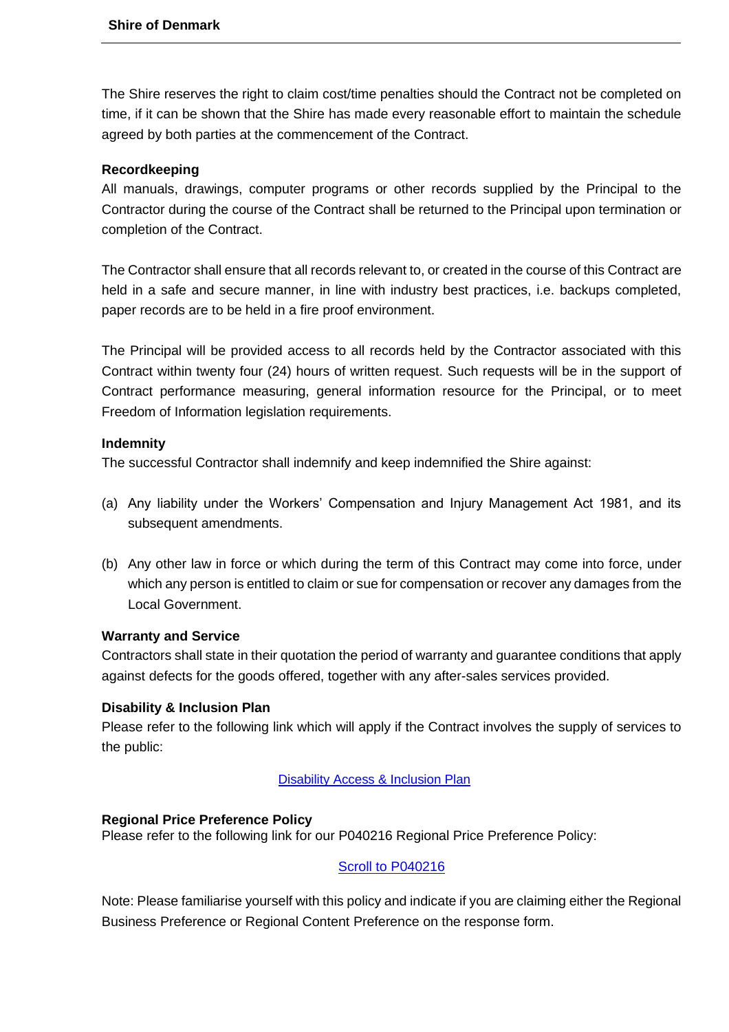The Shire reserves the right to claim cost/time penalties should the Contract not be completed on time, if it can be shown that the Shire has made every reasonable effort to maintain the schedule agreed by both parties at the commencement of the Contract.

#### **Recordkeeping**

All manuals, drawings, computer programs or other records supplied by the Principal to the Contractor during the course of the Contract shall be returned to the Principal upon termination or completion of the Contract.

The Contractor shall ensure that all records relevant to, or created in the course of this Contract are held in a safe and secure manner, in line with industry best practices, i.e. backups completed, paper records are to be held in a fire proof environment.

The Principal will be provided access to all records held by the Contractor associated with this Contract within twenty four (24) hours of written request. Such requests will be in the support of Contract performance measuring, general information resource for the Principal, or to meet Freedom of Information legislation requirements.

#### **Indemnity**

The successful Contractor shall indemnify and keep indemnified the Shire against:

- (a) Any liability under the Workers' Compensation and Injury Management Act 1981, and its subsequent amendments.
- (b) Any other law in force or which during the term of this Contract may come into force, under which any person is entitled to claim or sue for compensation or recover any damages from the Local Government.

#### **Warranty and Service**

Contractors shall state in their quotation the period of warranty and guarantee conditions that apply against defects for the goods offered, together with any after-sales services provided.

#### **Disability & Inclusion Plan**

Please refer to the following link which will apply if the Contract involves the supply of services to the public:

#### [Disability Access & Inclusion Plan](file://///fileserver/Company/Corporate%20Documents%20and%20Forms/Organisation%20Forms%20&%20Templates%20Register/Corporate%20and%20Community/Procurement/Request%20for%20Quote%20or%20Tender%20templates/(a)%09https:/www.denmark.wa.gov.au/residents/accessibility.aspx)

**Regional Price Preference Policy** Please refer to the following link for our P040216 Regional Price Preference Policy:

#### [Scroll to P040216](https://www.denmark.wa.gov.au/profiles/denmark/assets/clientdata/documents/governance_documents/general_documents/policy_manual_-_vjun20.pdf)

Note: Please familiarise yourself with this policy and indicate if you are claiming either the Regional Business Preference or Regional Content Preference on the response form.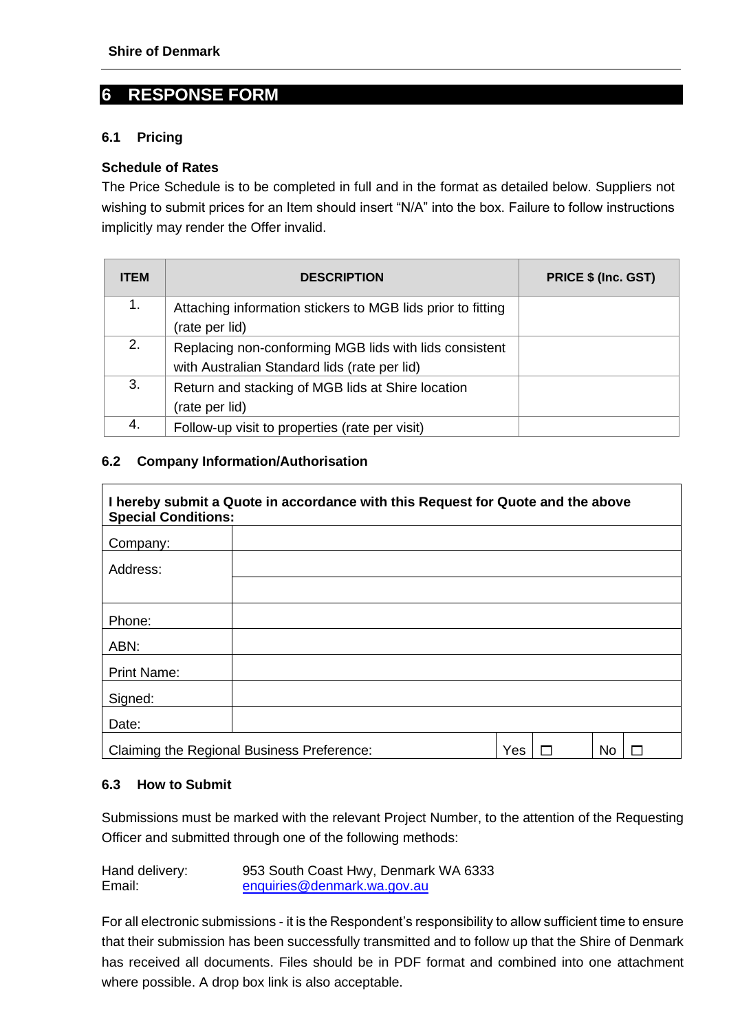### **6 RESPONSE FORM**

#### **6.1 Pricing**

#### **Schedule of Rates**

The Price Schedule is to be completed in full and in the format as detailed below. Suppliers not wishing to submit prices for an Item should insert "N/A" into the box. Failure to follow instructions implicitly may render the Offer invalid.

| <b>ITEM</b> | <b>DESCRIPTION</b>                                                                                     | <b>PRICE \$ (Inc. GST)</b> |
|-------------|--------------------------------------------------------------------------------------------------------|----------------------------|
| 1.          | Attaching information stickers to MGB lids prior to fitting<br>(rate per lid)                          |                            |
| 2.          | Replacing non-conforming MGB lids with lids consistent<br>with Australian Standard lids (rate per lid) |                            |
| 3.          | Return and stacking of MGB lids at Shire location<br>(rate per lid)                                    |                            |
| 4.          | Follow-up visit to properties (rate per visit)                                                         |                            |

#### **6.2 Company Information/Authorisation**

| I hereby submit a Quote in accordance with this Request for Quote and the above<br><b>Special Conditions:</b> |  |     |  |    |  |
|---------------------------------------------------------------------------------------------------------------|--|-----|--|----|--|
| Company:                                                                                                      |  |     |  |    |  |
| Address:                                                                                                      |  |     |  |    |  |
|                                                                                                               |  |     |  |    |  |
| Phone:                                                                                                        |  |     |  |    |  |
| ABN:                                                                                                          |  |     |  |    |  |
| <b>Print Name:</b>                                                                                            |  |     |  |    |  |
| Signed:                                                                                                       |  |     |  |    |  |
| Date:                                                                                                         |  |     |  |    |  |
| Claiming the Regional Business Preference:                                                                    |  | Yes |  | No |  |

#### **6.3 How to Submit**

Submissions must be marked with the relevant Project Number, to the attention of the Requesting Officer and submitted through one of the following methods:

| Hand delivery: | 953 South Coast Hwy, Denmark WA 6333 |
|----------------|--------------------------------------|
| Email:         | enquiries@denmark.wa.gov.au          |

For all electronic submissions - it is the Respondent's responsibility to allow sufficient time to ensure that their submission has been successfully transmitted and to follow up that the Shire of Denmark has received all documents. Files should be in PDF format and combined into one attachment where possible. A drop box link is also acceptable.